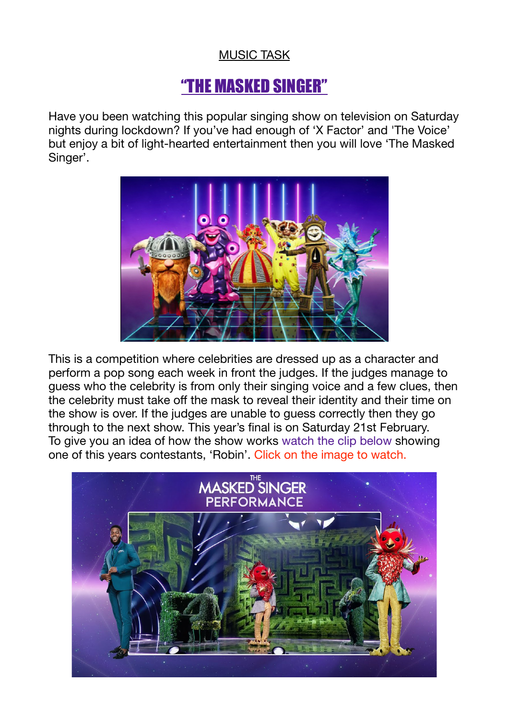## MUSIC TASK

## "THE MASKED SINGER"

Have you been watching this popular singing show on television on Saturday nights during lockdown? If you've had enough of 'X Factor' and 'The Voice' but enjoy a bit of light-hearted entertainment then you will love 'The Masked Singer'.



This is a competition where celebrities are dressed up as a character and perform a pop song each week in front the judges. If the judges manage to guess who the celebrity is from only their singing voice and a few clues, then the celebrity must take off the mask to reveal their identity and their time on the show is over. If the judges are unable to guess correctly then they go through to the next show. This year's final is on Saturday 21st February. To give you an idea of how the show works watch the clip below showing one of this years contestants, 'Robin'. Click on the image to watch.